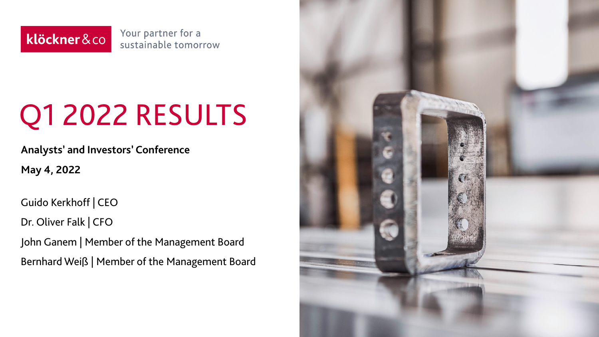Your partner for a klöckner&co sustainable tomorrow

# Q1 2022 RESULTS

**Analysts' and Investors' Conference**

**May 4, 2022**

Guido Kerkhoff | CEO

Dr. Oliver Falk | CFO

John Ganem | Member of the Management Board Bernhard Weiß | Member of the Management Board

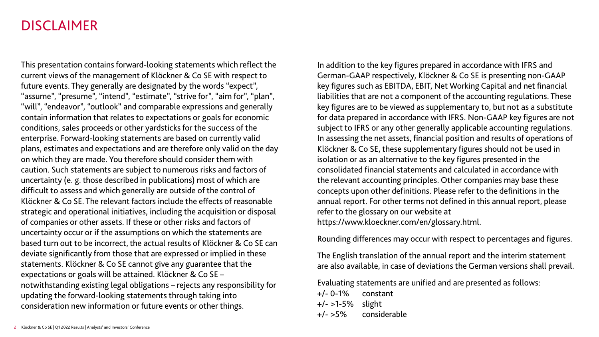#### DISCLAIMER

This presentation contains forward-looking statements which reflect the current views of the management of Klöckner & Co SE with respect to future events. They generally are designated by the words "expect", "assume", "presume", "intend", "estimate", "strive for", "aim for", "plan", "will", "endeavor", "outlook" and comparable expressions and generally contain information that relates to expectations or goals for economic conditions, sales proceeds or other yardsticks for the success of the enterprise. Forward-looking statements are based on currently valid plans, estimates and expectations and are therefore only valid on the day on which they are made. You therefore should consider them with caution. Such statements are subject to numerous risks and factors of uncertainty (e. g. those described in publications) most of which are difficult to assess and which generally are outside of the control of Klöckner & Co SE. The relevant factors include the effects of reasonable strategic and operational initiatives, including the acquisition or disposal of companies or other assets. If these or other risks and factors of uncertainty occur or if the assumptions on which the statements are based turn out to be incorrect, the actual results of Klöckner & Co SE can deviate significantly from those that are expressed or implied in these statements. Klöckner & Co SE cannot give any guarantee that the expectations or goals will be attained. Klöckner & Co SE – notwithstanding existing legal obligations – rejects any responsibility for updating the forward-looking statements through taking into consideration new information or future events or other things.

In addition to the key figures prepared in accordance with IFRS and German-GAAP respectively, Klöckner & Co SE is presenting non-GAAP key figures such as EBITDA, EBIT, Net Working Capital and net financial liabilities that are not a component of the accounting regulations. These key figures are to be viewed as supplementary to, but not as a substitute for data prepared in accordance with IFRS. Non-GAAP key figures are not subject to IFRS or any other generally applicable accounting regulations. In assessing the net assets, financial position and results of operations of Klöckner & Co SE, these supplementary figures should not be used in isolation or as an alternative to the key figures presented in the consolidated financial statements and calculated in accordance with the relevant accounting principles. Other companies may base these concepts upon other definitions. Please refer to the definitions in the annual report. For other terms not defined in this annual report, please refer to the glossary on our website at https://www.kloeckner.com/en/glossary.html.

Rounding differences may occur with respect to percentages and figures.

The English translation of the annual report and the interim statement are also available, in case of deviations the German versions shall prevail.

Evaluating statements are unified and are presented as follows:

+/- 0-1% constant +/- >1-5% slight +/- >5% considerable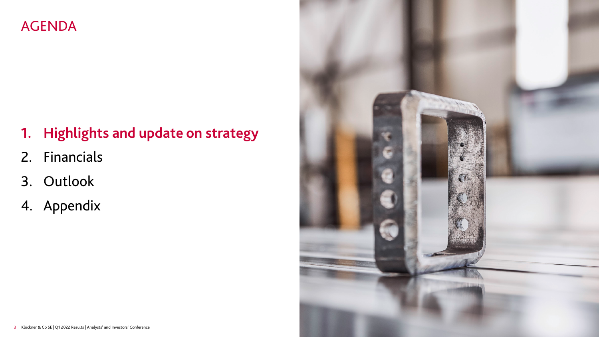# AGENDA

# **1. Highlights and update on strategy**

- 2. Financials
- 3. Outlook
- 4. Appendix

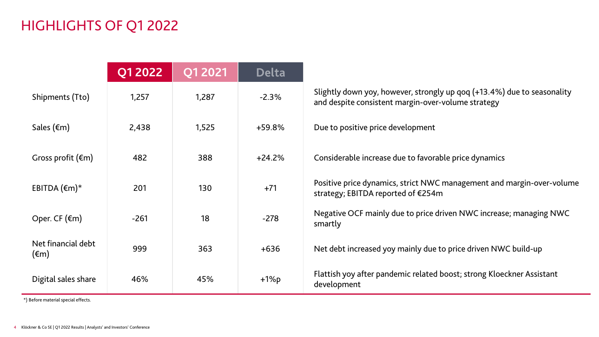# HIGHLIGHTS OF Q1 2022

|                                      | <b>Q1 2022</b> | Q1 2021 | <b>Delta</b> |                                                                                                                               |
|--------------------------------------|----------------|---------|--------------|-------------------------------------------------------------------------------------------------------------------------------|
| Shipments (Tto)                      | 1,257          | 1,287   | $-2.3%$      | Slightly down yoy, however, strongly up qoq (+13.4%) due to seasonality<br>and despite consistent margin-over-volume strategy |
| Sales $(\epsilon m)$                 | 2,438          | 1,525   | $+59.8%$     | Due to positive price development                                                                                             |
| Gross profit $(\epsilon m)$          | 482            | 388     | $+24.2%$     | Considerable increase due to favorable price dynamics                                                                         |
| EBITDA $(\epsilon m)^*$              | 201            | 130     | $+71$        | Positive price dynamics, strict NWC management and margin-over-volume<br>strategy; EBITDA reported of €254m                   |
| Oper. CF $(\epsilon m)$              | $-261$         | 18      | $-278$       | Negative OCF mainly due to price driven NWC increase; managing NWC<br>smartly                                                 |
| Net financial debt<br>$(\epsilon m)$ | 999            | 363     | $+636$       | Net debt increased yoy mainly due to price driven NWC build-up                                                                |
| Digital sales share                  | 46%            | 45%     | $+1\%p$      | Flattish yoy after pandemic related boost; strong Kloeckner Assistant<br>development                                          |

\*) Before material special effects.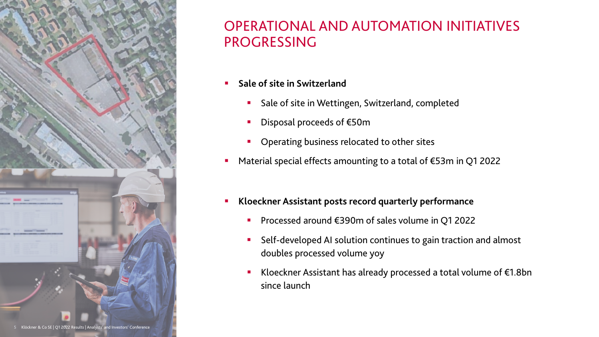

#### OPERATIONAL AND AUTOMATION INITIATIVES PROGRESSING

- **Sale of site in Switzerland** 
	- **Sale of site in Wettingen, Switzerland, completed**
	- Disposal proceeds of €50m
	- Operating business relocated to other sites
- Material special effects amounting to a total of €53m in Q1 2022
- **Kloeckner Assistant posts record quarterly performance**
	- Processed around €390m of sales volume in Q1 2022
	- Self-developed AI solution continues to gain traction and almost doubles processed volume yoy
	- Kloeckner Assistant has already processed a total volume of €1.8bn since launch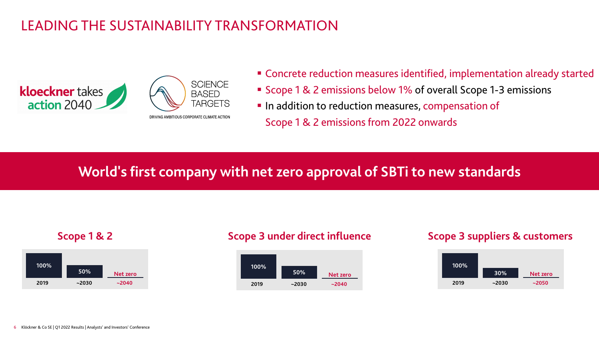# LEADING THE SUSTAINABILITY TRANSFORMATION





- Concrete reduction measures identified, implementation already started
- Scope 1 & 2 emissions below 1% of overall Scope 1-3 emissions
- In addition to reduction measures, compensation of Scope 1 & 2 emissions from 2022 onwards

# **World's first company with net zero approval of SBTi to new standards**





#### **Scope 1 & 2 Scope 3 under direct influence Scope 3 suppliers & customers**

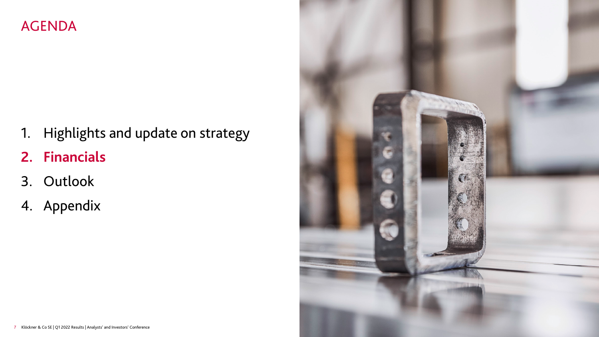### AGENDA

- 1. Highlights and update on strategy
- **2. Financials**
- 3. Outlook
- 4. Appendix

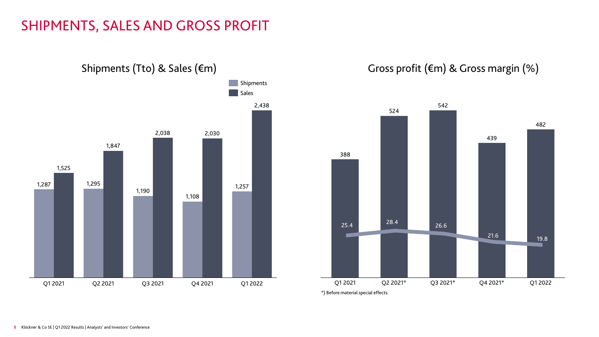#### SHIPMENTS, SALES AND GROSS PROFIT





\*) Before material special effects.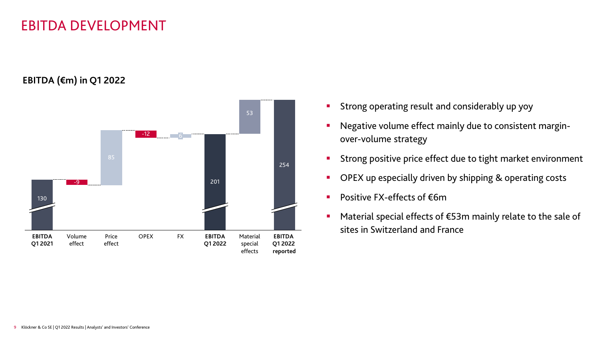#### EBITDA DEVELOPMENT

**EBITDA (€m) in Q1 2022**



- Strong operating result and considerably up yoy
- Negative volume effect mainly due to consistent marginover-volume strategy
- **Strong positive price effect due to tight market environment**
- OPEX up especially driven by shipping & operating costs
- Positive FX-effects of €6m
- Material special effects of €53m mainly relate to the sale of sites in Switzerland and France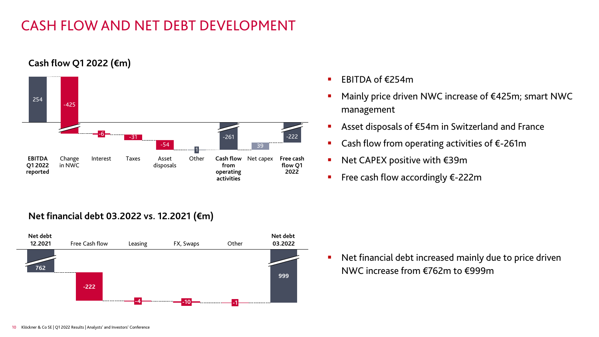# CASH FLOW AND NET DEBT DEVELOPMENT

#### **Cash flow Q1 2022 (€m)**



#### **Net financial debt 03.2022 vs. 12.2021 (€m)**



- EBITDA of  $£254m$
- Mainly price driven NWC increase of €425m; smart NWC management
- Asset disposals of €54m in Switzerland and France
- Cash flow from operating activities of €-261m
- Net CAPEX positive with  $\epsilon$ 39m
- Free cash flow accordingly €-222m

 Net financial debt increased mainly due to price driven NWC increase from €762m to €999m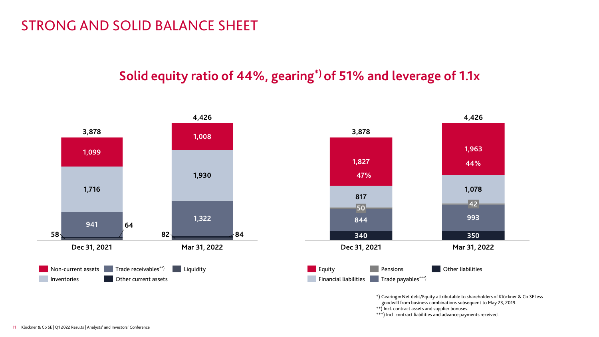#### STRONG AND SOLID BALANCE SHEET

#### **Solid equity ratio of 44%, gearing\*) of 51% and leverage of 1.1x**



goodwill from business combinations subsequent to May 23, 2019.

\*\*) Incl. contract assets and supplier bonuses.

\*\*\*) Incl. contract liabilities and advance payments received.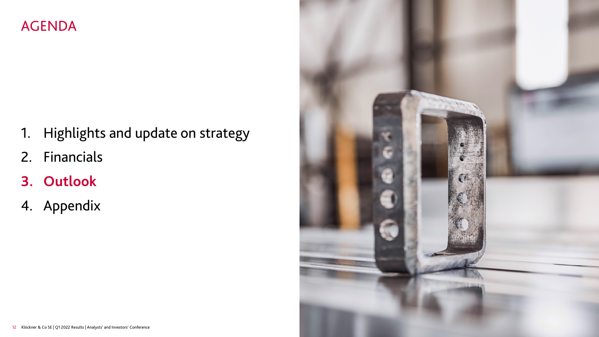### AGENDA

- 1. Highlights and update on strategy
- 2. Financials
- **3. Outlook**
- 4. Appendix

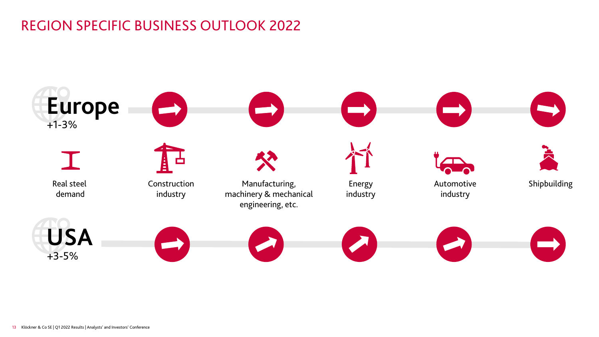# REGION SPECIFIC BUSINESS OUTLOOK 2022

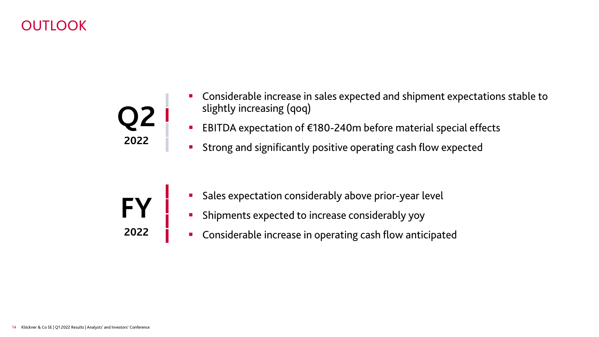# OUTLOOK



- Considerable increase in sales expected and shipment expectations stable to slightly increasing (qoq)
- EBITDA expectation of €180-240m before material special effects
- **Strong and significantly positive operating cash flow expected**
- **FY 2022**
- Sales expectation considerably above prior-year level
- **BED Shipments expected to increase considerably yoy**
- **•** Considerable increase in operating cash flow anticipated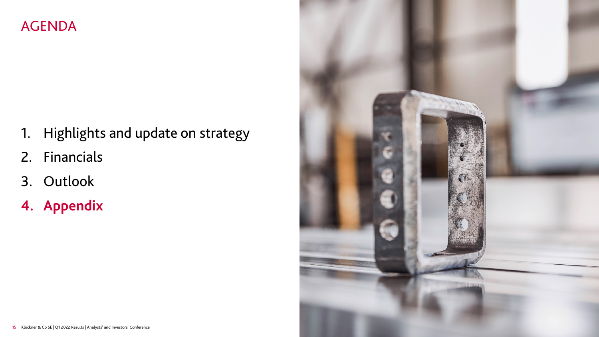### AGENDA

- 1. Highlights and update on strategy
- 2. Financials
- 3. Outlook
- **4. Appendix**

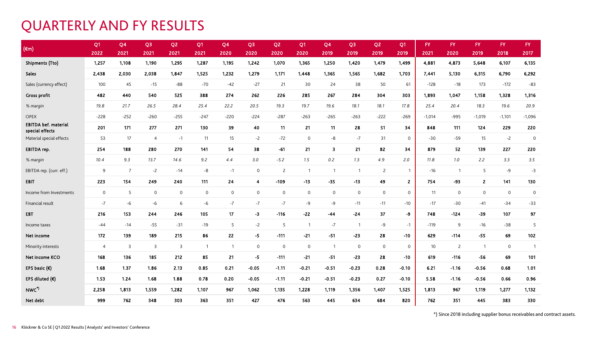#### QUARTERLY AND FY RESULTS

| $(\epsilon m)$                                 | Q <sub>1</sub> | Q <sub>4</sub> | Q <sub>3</sub>      | Q <sub>2</sub> | Q <sub>1</sub> | Q4             | Q <sub>3</sub> | Q <sub>2</sub>      | Q <sub>1</sub> | Q <sub>4</sub>      | Q <sub>3</sub> | Q <sub>2</sub>      | Q1             | FY.      | <b>FY</b>      | <b>FY</b>      | FY.          | FY.            |
|------------------------------------------------|----------------|----------------|---------------------|----------------|----------------|----------------|----------------|---------------------|----------------|---------------------|----------------|---------------------|----------------|----------|----------------|----------------|--------------|----------------|
|                                                | 2022           | 2021           | 2021                | 2021           | 2021           | 2020           | 2020           | 2020                | 2020           | 2019                | 2019           | 2019                | 2019           | 2021     | 2020           | 2019           | 2018         | 2017           |
| <b>Shipments (Tto)</b>                         | 1,257          | 1,108          | 1,190               | 1,295          | 1,287          | 1,195          | 1,242          | 1,070               | 1,365          | 1,250               | 1,420          | 1,479               | 1,499          | 4,881    | 4,873          | 5,648          | 6,107        | 6,135          |
| Sales                                          | 2,438          | 2,030          | 2,038               | 1,847          | 1,525          | 1,232          | 1,279          | 1,171               | 1,448          | 1,365               | 1,565          | 1,682               | 1,703          | 7,441    | 5,130          | 6,315          | 6,790        | 6,292          |
| Sales (currency effect)                        | 100            | 45             | $-15$               | $-88$          | $-70$          | $-42$          | $-27$          | 21                  | 30             | 24                  | 38             | 50                  | 61             | $-128$   | $-18$          | 173            | $-172$       | $-83$          |
| <b>Gross profit</b>                            | 482            | 440            | 540                 | 525            | 388            | 274            | 262            | 226                 | 285            | 267                 | 284            | 304                 | 303            | 1,893    | 1,047          | 1,158          | 1,328        | 1,316          |
| % margin                                       | 19.8           | 21.7           | 26.5                | 28.4           | 25.4           | 22.2           | 20.5           | 19.3                | 19.7           | 19.6                | 18.1           | 18.1                | 17.8           | 25.4     | 20.4           | 18.3           | 19.6         | 20.9           |
| <b>OPEX</b>                                    | $-228$         | $-252$         | $-260$              | $-255$         | $-247$         | $-220$         | $-224$         | $-287$              | $-263$         | $-265$              | $-263$         | $-222$              | $-269$         | $-1,014$ | $-995$         | $-1,019$       | $-1,101$     | $-1,096$       |
| <b>EBITDA bef. material</b><br>special effects | 201            | 171            | 277                 | 271            | 130            | 39             | 40             | 11                  | 21             | 11                  | 28             | 51                  | 34             | 848      | 111            | 124            | 229          | 220            |
| Material special effects                       | 53             | 17             | $\overline{4}$      | $-1$           | 11             | 15             | $-2$           | $-72$               | $\mathbf 0$    | $-8$                | $-7$           | 31                  | $\mathbf 0$    | $-30$    | $-59$          | 15             | $-2$         | $\overline{0}$ |
| EBITDA rep.                                    | 254            | 188            | 280                 | 270            | 141            | 54             | 38             | $-61$               | 21             | 3                   | 21             | 82                  | 34             | 879      | 52             | 139            | 227          | 220            |
| % margin                                       | 10.4           | 9.3            | 13.7                | 14.6           | 9.2            | 4.4            | 3.0            | $-5.2$              | 1.5            | $0.2\,$             | 1.3            | 4.9                 | 2.0            | 11.8     | 1.0            | 2.2            | 3.3          | 3.5            |
| EBITDA rep. (curr. eff.)                       | 9              | $\overline{7}$ | $-2$                | $-14$          | -8             | $-1$           | $\mathsf{O}$   | $\overline{2}$      | $\overline{1}$ | $\overline{1}$      | $\overline{1}$ | $\overline{2}$      | $\overline{1}$ | $-16$    | $\overline{1}$ | 5              | -9           | $-3$           |
| <b>EBIT</b>                                    | 223            | 154            | 249                 | 240            | 111            | 24             | $\overline{4}$ | $-109$              | $-13$          | $-35$               | $-13$          | 49                  | $\overline{2}$ | 754      | -93            | $\overline{2}$ | 141          | 130            |
| Income from Investments                        | $\mathbf 0$    | 5              | $\mathsf{O}\xspace$ | $\mathbf 0$    | $\mathbf 0$    | $\mathsf{O}$   | $\mathsf{O}$   | $\mathsf{O}\xspace$ | $\mathsf{O}$   | $\mathsf{O}\xspace$ | $\mathsf{O}$   | $\mathbf 0$         | $\mathsf 0$    | 11       | $\mathbf 0$    | $\mathsf{O}$   | $\mathbf 0$  | $\mathbf 0$    |
| Financial result                               | $-7$           | -6             | -6                  | 6              | -6             | $-7$           | $-7$           | $-7$                | -9             | -9                  | $-11$          | $-11$               | $-10$          | $-17$    | $-30$          | $-41$          | $-34$        | $-33$          |
| <b>EBT</b>                                     | 216            | 153            | 244                 | 246            | 105            | 17             | $-3$           | $-116$              | $-22$          | $-44$               | $-24$          | 37                  | -9             | 748      | $-124$         | $-39$          | 107          | 97             |
| Income taxes                                   | $-44$          | $-14$          | $-55$               | $-31$          | $-19$          | 5              | $-2$           | 5                   | $\overline{1}$ | $-7$                | $\overline{1}$ | $-9$                | $-1$           | $-119$   | 9              | $-16$          | $-38$        | 5              |
| Net income                                     | 172            | 139            | 189                 | 215            | 86             | 22             | $-5$           | $-111$              | $-21$          | $-51$               | $-23$          | 28                  | $-10$          | 629      | $-114$         | $-55$          | 69           | 102            |
| Minority interests                             | $\overline{4}$ | 3              | 3                   | 3              | $\overline{1}$ | $\overline{1}$ | $\mathbf{0}$   | $\mathbf 0$         | $\mathsf{O}$   | $\mathbf{1}$        | $\mathbf{0}$   | $\mathsf{O}\xspace$ | $\mathbf 0$    | 10       | $\overline{2}$ | $\overline{1}$ | $\mathsf{O}$ | $\overline{1}$ |
| Net income KCO                                 | 168            | 136            | 185                 | 212            | 85             | 21             | -5             | $-111$              | $-21$          | $-51$               | $-23$          | 28                  | $-10$          | 619      | $-116$         | $-56$          | 69           | 101            |
| EPS basic $(\epsilon)$                         | 1.68           | 1.37           | 1.86                | 2.13           | 0.85           | 0.21           | $-0.05$        | $-1.11$             | $-0.21$        | $-0.51$             | $-0.23$        | 0.28                | $-0.10$        | 6.21     | $-1.16$        | $-0.56$        | 0.68         | 1.01           |
| EPS diluted $(\epsilon)$                       | 1.53           | 1.24           | 1.68                | 1.88           | 0.78           | 0.20           | $-0.05$        | $-1.11$             | $-0.21$        | $-0.51$             | $-0.23$        | 0.27                | $-0.10$        | 5.58     | $-1.16$        | $-0.56$        | 0.66         | 0.96           |
| NWC*)                                          | 2,258          | 1,813          | 1,559               | 1,282          | 1,107          | 967            | 1,062          | 1,135               | 1,228          | 1,119               | 1,356          | 1,407               | 1,525          | 1,813    | 967            | 1,119          | 1,277        | 1,132          |
| Net debt                                       | 999            | 762            | 348                 | 303            | 363            | 351            | 427            | 476                 | 563            | 445                 | 634            | 684                 | 820            | 762      | 351            | 445            | 383          | 330            |

\*) Since 2018 including supplier bonus receivables and contract assets.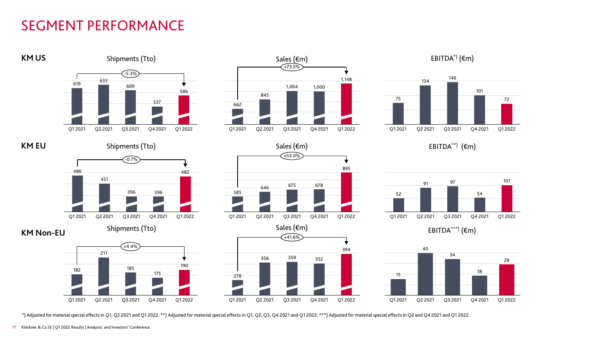# SEGMENT PERFORMANCE



\*) Adjusted for material special effectsin Q1, Q2 2021 and Q1 2022. \*\*) Adjusted for material special effectsin Q1, Q2, Q3, Q4 2021 and Q1 2022. \*\*\*) Adjusted for material special effectsin Q2 and Q4 2021 and Q1 2022.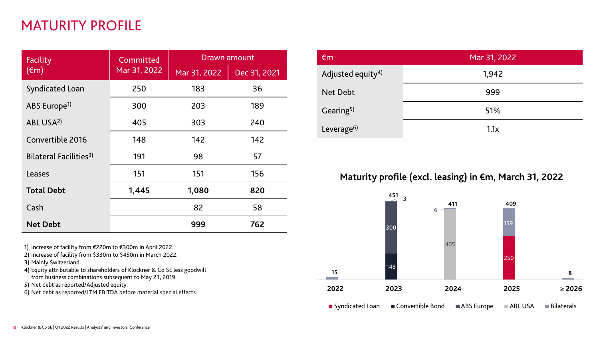# MATURITY PROFILE

| Facility                           | Committed    | <b>Drawn amount</b> |              |  |  |  |  |
|------------------------------------|--------------|---------------------|--------------|--|--|--|--|
| $(\epsilon m)$                     | Mar 31, 2022 | Mar 31, 2022        | Dec 31, 2021 |  |  |  |  |
| <b>Syndicated Loan</b>             | 250          | 183                 | 36           |  |  |  |  |
| ABS Europe <sup>1)</sup>           | 300          | 203                 | 189          |  |  |  |  |
| ABL USA <sup>2)</sup>              | 405          | 303                 | 240          |  |  |  |  |
| Convertible 2016                   | 148          | 142                 | 142          |  |  |  |  |
| Bilateral Facilities <sup>3)</sup> | 191          | 98                  | 57           |  |  |  |  |
| Leases                             | 151          | 151                 | 156          |  |  |  |  |
| <b>Total Debt</b>                  | 1,445        | 1,080               | 820          |  |  |  |  |
| Cash                               |              | 82                  | 58           |  |  |  |  |
| <b>Net Debt</b>                    |              | 999                 | 762          |  |  |  |  |

1) Increase of facility from €220m to €300m in April 2022.

2) Increase of facility from \$330m to \$450m in March 2022.

3) Mainly Switzerland.

4) Equity attributable to shareholders of Klöckner & Co SE less goodwill from business combinations subsequent to May 23, 2019.

5) Net debt as reported/Adjusted equity.

6) Net debt as reported/LTM EBITDA before material special effects.

| $\epsilon$ m                  | Mar 31, 2022 |  |  |  |  |  |
|-------------------------------|--------------|--|--|--|--|--|
| Adjusted equity <sup>4)</sup> | 1,942        |  |  |  |  |  |
| <b>Net Debt</b>               | 999          |  |  |  |  |  |
| Gearing <sup>5)</sup>         | 51%          |  |  |  |  |  |
| Leverage <sup>6)</sup>        | 1.1x         |  |  |  |  |  |

#### **Maturity profile (excl. leasing) in €m, March 31, 2022**

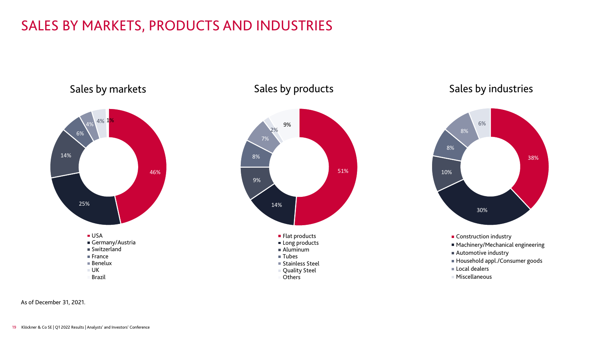# SALES BY MARKETS, PRODUCTS AND INDUSTRIES



#### Sales by products



#### Sales by industries



- Machinery/Mechanical engineering
- 
- Automotive industry
- Household appl./Consumer goods
- Local dealers
- Miscellaneous

As of December 31, 2021.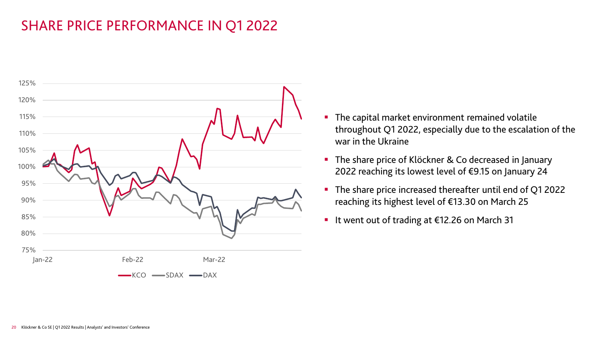# SHARE PRICE PERFORMANCE IN Q1 2022



- **The capital market environment remained volatile** throughout Q1 2022, especially due to the escalation of the war in the Ukraine
- The share price of Klöckner & Co decreased in January 2022 reaching its lowest level of €9.15 on January 24
- The share price increased thereafter until end of Q1 2022 reaching its highest level of €13.30 on March 25
- It went out of trading at €12.26 on March 31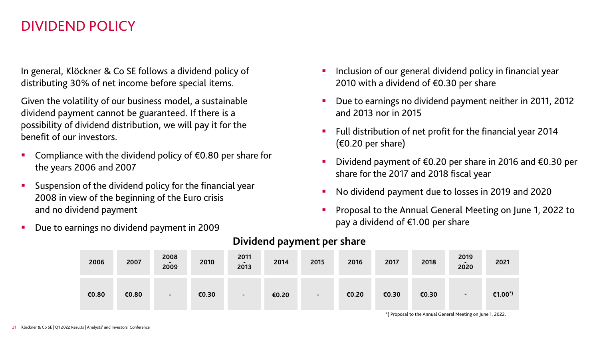#### DIVIDEND POLICY

In general, Klöckner & Co SE follows a dividend policy of distributing 30% of net income before special items.

Given the volatility of our business model, a sustainable dividend payment cannot be guaranteed. If there is a possibility of dividend distribution, we will pay it for the benefit of our investors.

- Compliance with the dividend policy of €0.80 per share for the years 2006 and 2007
- Suspension of the dividend policy for the financial year 2008 in view of the beginning of the Euro crisis and no dividend payment
- Due to earnings no dividend payment in 2009
- Inclusion of our general dividend policy in financial year 2010 with a dividend of  $\epsilon$ 0.30 per share
- Due to earnings no dividend payment neither in 2011, 2012 and 2013 nor in 2015
- **Full distribution of net profit for the financial year 2014**  $(60.20 \text{ per share})$
- Dividend payment of €0.20 per share in 2016 and €0.30 per share for the 2017 and 2018 fiscal year
- No dividend payment due to losses in 2019 and 2020
- Proposal to the Annual General Meeting on June 1, 2022 to pay a dividend of €1.00 per share

| 2006  | 2007  | 2008<br>2009             | 2010  | 2011<br>2013 | 2014  | 2015                     | 2016  | 2017  | 2018  | 2019<br>$\overline{\phantom{a}}$<br>2020 | 2021                |
|-------|-------|--------------------------|-------|--------------|-------|--------------------------|-------|-------|-------|------------------------------------------|---------------------|
| €0.80 | €0.80 | $\overline{\phantom{a}}$ | €0.30 | $\sim$       | €0.20 | $\overline{\phantom{a}}$ | €0.20 | €0.30 | €0.30 | $\blacksquare$                           | €1.00 <sup>*)</sup> |

#### **Dividend payment per share**

\*) Proposal to the Annual General Meeting on June 1, 2022.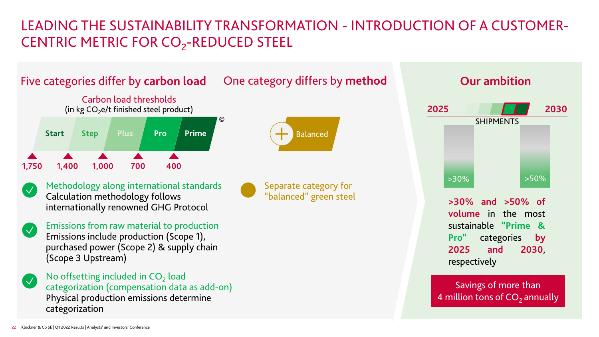# LEADING THE SUSTAINABILITY TRANSFORMATION - INTRODUCTION OF A CUSTOMER-CENTRIC METRIC FOR CO<sub>2</sub>-REDUCED STEEL



# **>30% and >50% of volume** in the most sustainable **"Prime & Pro"** categories **by 2025 and 2030**, respectively **2025** SHIPMENTS **2030**  $>30\%$   $>50\%$ **Our ambition**

Savings of more than 4 million tons of  $CO<sub>2</sub>$  annually